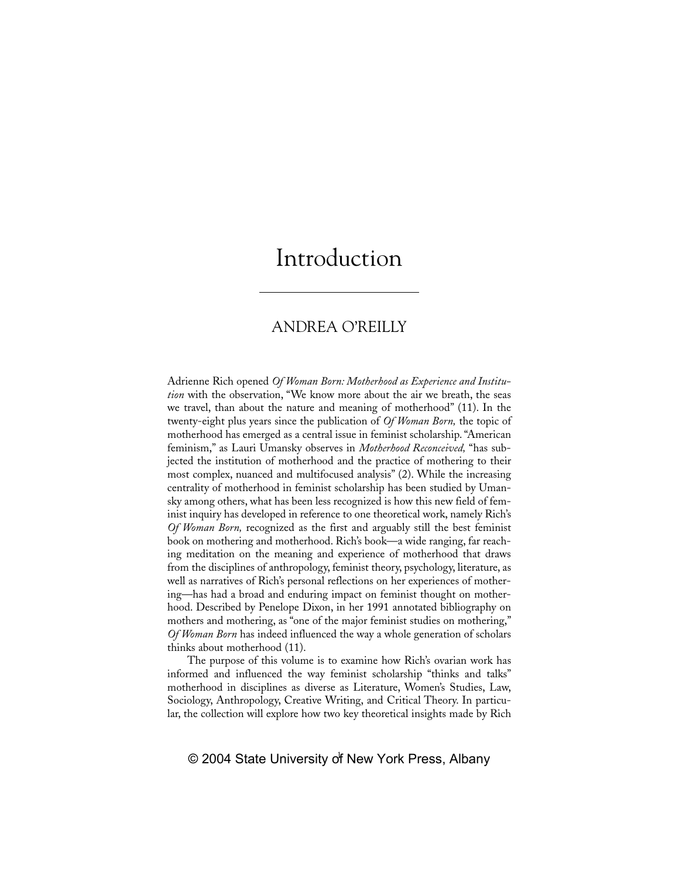# Introduction

# ANDREA O'REILLY

Adrienne Rich opened *Of Woman Born: Motherhood as Experience and Institution* with the observation, "We know more about the air we breath, the seas we travel, than about the nature and meaning of motherhood" (11). In the twenty-eight plus years since the publication of *Of Woman Born,* the topic of motherhood has emerged as a central issue in feminist scholarship. "American feminism," as Lauri Umansky observes in *Motherhood Reconceived,* "has subjected the institution of motherhood and the practice of mothering to their most complex, nuanced and multifocused analysis" (2). While the increasing centrality of motherhood in feminist scholarship has been studied by Umansky among others, what has been less recognized is how this new field of feminist inquiry has developed in reference to one theoretical work, namely Rich's *Of Woman Born,* recognized as the first and arguably still the best feminist book on mothering and motherhood. Rich's book—a wide ranging, far reaching meditation on the meaning and experience of motherhood that draws from the disciplines of anthropology, feminist theory, psychology, literature, as well as narratives of Rich's personal reflections on her experiences of mothering—has had a broad and enduring impact on feminist thought on motherhood. Described by Penelope Dixon, in her 1991 annotated bibliography on mothers and mothering, as "one of the major feminist studies on mothering," *Of Woman Born* has indeed influenced the way a whole generation of scholars thinks about motherhood (11).

The purpose of this volume is to examine how Rich's ovarian work has informed and influenced the way feminist scholarship "thinks and talks" motherhood in disciplines as diverse as Literature, Women's Studies, Law, Sociology, Anthropology, Creative Writing, and Critical Theory. In particular, the collection will explore how two key theoretical insights made by Rich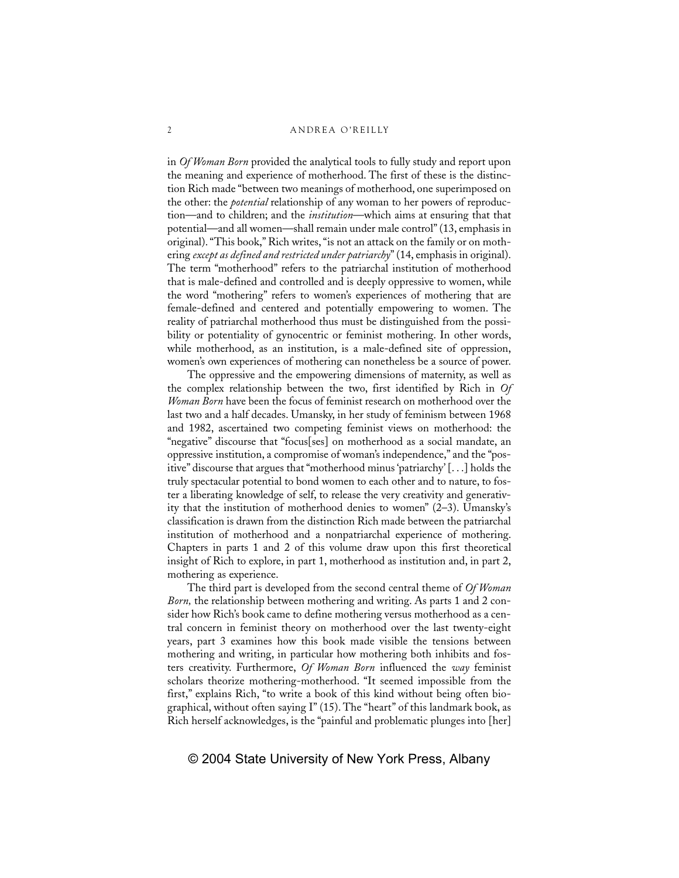in *Of Woman Born* provided the analytical tools to fully study and report upon the meaning and experience of motherhood. The first of these is the distinction Rich made "between two meanings of motherhood, one superimposed on the other: the *potential* relationship of any woman to her powers of reproduction—and to children; and the *institution*—which aims at ensuring that that potential—and all women—shall remain under male control" (13, emphasis in original). "This book," Rich writes, "is not an attack on the family or on mothering *except as defined and restricted under patriarchy*" (14, emphasis in original). The term "motherhood" refers to the patriarchal institution of motherhood that is male-defined and controlled and is deeply oppressive to women, while the word "mothering" refers to women's experiences of mothering that are female-defined and centered and potentially empowering to women. The reality of patriarchal motherhood thus must be distinguished from the possibility or potentiality of gynocentric or feminist mothering. In other words, while motherhood, as an institution, is a male-defined site of oppression, women's own experiences of mothering can nonetheless be a source of power.

The oppressive and the empowering dimensions of maternity, as well as the complex relationship between the two, first identified by Rich in *Of Woman Born* have been the focus of feminist research on motherhood over the last two and a half decades. Umansky, in her study of feminism between 1968 and 1982, ascertained two competing feminist views on motherhood: the "negative" discourse that "focus[ses] on motherhood as a social mandate, an oppressive institution, a compromise of woman's independence," and the "positive" discourse that argues that "motherhood minus 'patriarchy' [. . .] holds the truly spectacular potential to bond women to each other and to nature, to foster a liberating knowledge of self, to release the very creativity and generativity that the institution of motherhood denies to women" (2–3). Umansky's classification is drawn from the distinction Rich made between the patriarchal institution of motherhood and a nonpatriarchal experience of mothering. Chapters in parts 1 and 2 of this volume draw upon this first theoretical insight of Rich to explore, in part 1, motherhood as institution and, in part 2, mothering as experience.

The third part is developed from the second central theme of *Of Woman Born,* the relationship between mothering and writing. As parts 1 and 2 consider how Rich's book came to define mothering versus motherhood as a central concern in feminist theory on motherhood over the last twenty-eight years, part 3 examines how this book made visible the tensions between mothering and writing, in particular how mothering both inhibits and fosters creativity. Furthermore, *Of Woman Born* influenced the *way* feminist scholars theorize mothering-motherhood. "It seemed impossible from the first," explains Rich, "to write a book of this kind without being often biographical, without often saying I" (15). The "heart" of this landmark book, as Rich herself acknowledges, is the "painful and problematic plunges into [her]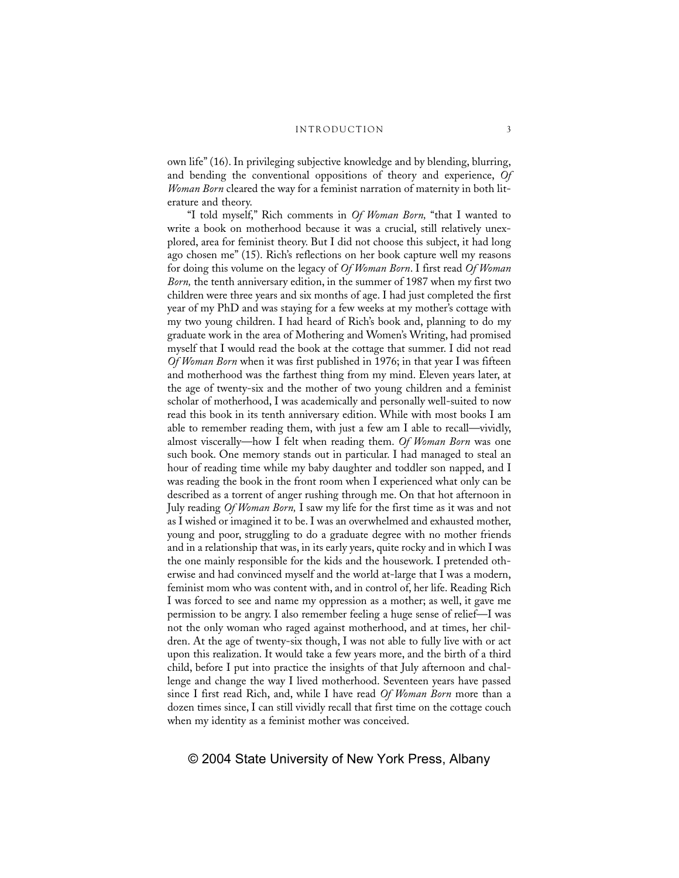own life" (16). In privileging subjective knowledge and by blending, blurring, and bending the conventional oppositions of theory and experience, *Of Woman Born* cleared the way for a feminist narration of maternity in both literature and theory.

"I told myself," Rich comments in *Of Woman Born,* "that I wanted to write a book on motherhood because it was a crucial, still relatively unexplored, area for feminist theory. But I did not choose this subject, it had long ago chosen me" (15). Rich's reflections on her book capture well my reasons for doing this volume on the legacy of *Of Woman Born*. I first read *Of Woman Born,* the tenth anniversary edition, in the summer of 1987 when my first two children were three years and six months of age. I had just completed the first year of my PhD and was staying for a few weeks at my mother's cottage with my two young children. I had heard of Rich's book and, planning to do my graduate work in the area of Mothering and Women's Writing, had promised myself that I would read the book at the cottage that summer. I did not read *Of Woman Born* when it was first published in 1976; in that year I was fifteen and motherhood was the farthest thing from my mind. Eleven years later, at the age of twenty-six and the mother of two young children and a feminist scholar of motherhood, I was academically and personally well-suited to now read this book in its tenth anniversary edition. While with most books I am able to remember reading them, with just a few am I able to recall—vividly, almost viscerally—how I felt when reading them. *Of Woman Born* was one such book. One memory stands out in particular. I had managed to steal an hour of reading time while my baby daughter and toddler son napped, and I was reading the book in the front room when I experienced what only can be described as a torrent of anger rushing through me. On that hot afternoon in July reading *Of Woman Born,* I saw my life for the first time as it was and not as I wished or imagined it to be. I was an overwhelmed and exhausted mother, young and poor, struggling to do a graduate degree with no mother friends and in a relationship that was, in its early years, quite rocky and in which I was the one mainly responsible for the kids and the housework. I pretended otherwise and had convinced myself and the world at-large that I was a modern, feminist mom who was content with, and in control of, her life. Reading Rich I was forced to see and name my oppression as a mother; as well, it gave me permission to be angry. I also remember feeling a huge sense of relief—I was not the only woman who raged against motherhood, and at times, her children. At the age of twenty-six though, I was not able to fully live with or act upon this realization. It would take a few years more, and the birth of a third child, before I put into practice the insights of that July afternoon and challenge and change the way I lived motherhood. Seventeen years have passed since I first read Rich, and, while I have read *Of Woman Born* more than a dozen times since, I can still vividly recall that first time on the cottage couch when my identity as a feminist mother was conceived.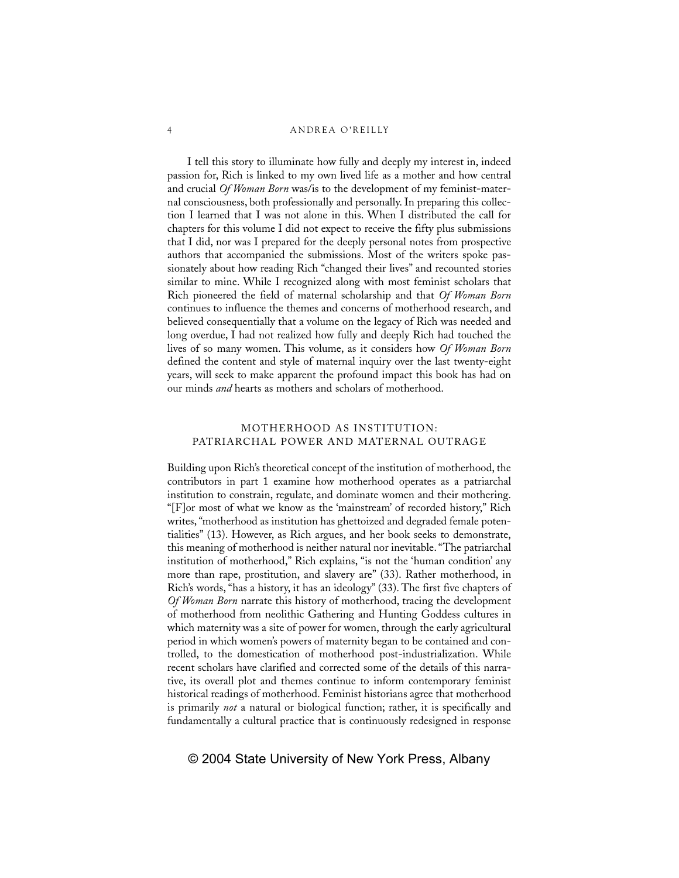I tell this story to illuminate how fully and deeply my interest in, indeed passion for, Rich is linked to my own lived life as a mother and how central and crucial *Of Woman Born* was/is to the development of my feminist-maternal consciousness, both professionally and personally. In preparing this collection I learned that I was not alone in this. When I distributed the call for chapters for this volume I did not expect to receive the fifty plus submissions that I did, nor was I prepared for the deeply personal notes from prospective authors that accompanied the submissions. Most of the writers spoke passionately about how reading Rich "changed their lives" and recounted stories similar to mine. While I recognized along with most feminist scholars that Rich pioneered the field of maternal scholarship and that *Of Woman Born* continues to influence the themes and concerns of motherhood research, and believed consequentially that a volume on the legacy of Rich was needed and long overdue, I had not realized how fully and deeply Rich had touched the lives of so many women. This volume, as it considers how *Of Woman Born* defined the content and style of maternal inquiry over the last twenty-eight years, will seek to make apparent the profound impact this book has had on our minds *and* hearts as mothers and scholars of motherhood.

#### MOTHERHOOD AS INSTITUTION: PATRIARCHAL POWER AND MATERNAL OUTRAGE

Building upon Rich's theoretical concept of the institution of motherhood, the contributors in part 1 examine how motherhood operates as a patriarchal institution to constrain, regulate, and dominate women and their mothering. "[F]or most of what we know as the 'mainstream' of recorded history," Rich writes, "motherhood as institution has ghettoized and degraded female potentialities" (13). However, as Rich argues, and her book seeks to demonstrate, this meaning of motherhood is neither natural nor inevitable. "The patriarchal institution of motherhood," Rich explains, "is not the 'human condition' any more than rape, prostitution, and slavery are" (33). Rather motherhood, in Rich's words, "has a history, it has an ideology" (33). The first five chapters of *Of Woman Born* narrate this history of motherhood, tracing the development of motherhood from neolithic Gathering and Hunting Goddess cultures in which maternity was a site of power for women, through the early agricultural period in which women's powers of maternity began to be contained and controlled, to the domestication of motherhood post-industrialization. While recent scholars have clarified and corrected some of the details of this narrative, its overall plot and themes continue to inform contemporary feminist historical readings of motherhood. Feminist historians agree that motherhood is primarily *not* a natural or biological function; rather, it is specifically and fundamentally a cultural practice that is continuously redesigned in response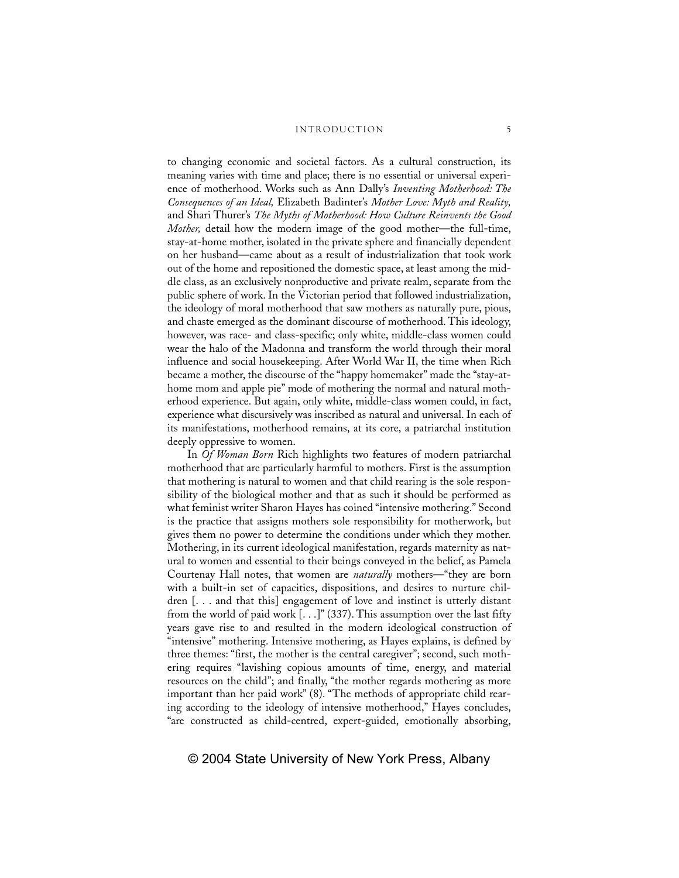to changing economic and societal factors. As a cultural construction, its meaning varies with time and place; there is no essential or universal experience of motherhood. Works such as Ann Dally's *Inventing Motherhood: The Consequences of an Ideal,* Elizabeth Badinter's *Mother Love: Myth and Reality,* and Shari Thurer's *The Myths of Motherhood: How Culture Reinvents the Good Mother,* detail how the modern image of the good mother—the full-time, stay-at-home mother, isolated in the private sphere and financially dependent on her husband—came about as a result of industrialization that took work out of the home and repositioned the domestic space, at least among the middle class, as an exclusively nonproductive and private realm, separate from the public sphere of work. In the Victorian period that followed industrialization, the ideology of moral motherhood that saw mothers as naturally pure, pious, and chaste emerged as the dominant discourse of motherhood. This ideology, however, was race- and class-specific; only white, middle-class women could wear the halo of the Madonna and transform the world through their moral influence and social housekeeping. After World War II, the time when Rich became a mother, the discourse of the "happy homemaker" made the "stay-athome mom and apple pie" mode of mothering the normal and natural motherhood experience. But again, only white, middle-class women could, in fact, experience what discursively was inscribed as natural and universal. In each of its manifestations, motherhood remains, at its core, a patriarchal institution deeply oppressive to women.

In *Of Woman Born* Rich highlights two features of modern patriarchal motherhood that are particularly harmful to mothers. First is the assumption that mothering is natural to women and that child rearing is the sole responsibility of the biological mother and that as such it should be performed as what feminist writer Sharon Hayes has coined "intensive mothering." Second is the practice that assigns mothers sole responsibility for motherwork, but gives them no power to determine the conditions under which they mother. Mothering, in its current ideological manifestation, regards maternity as natural to women and essential to their beings conveyed in the belief, as Pamela Courtenay Hall notes, that women are *naturally* mothers—"they are born with a built-in set of capacities, dispositions, and desires to nurture children [. . . and that this] engagement of love and instinct is utterly distant from the world of paid work  $[...]^n$  (337). This assumption over the last fifty years gave rise to and resulted in the modern ideological construction of "intensive" mothering. Intensive mothering, as Hayes explains, is defined by three themes: "first, the mother is the central caregiver"; second, such mothering requires "lavishing copious amounts of time, energy, and material resources on the child"; and finally, "the mother regards mothering as more important than her paid work" (8). "The methods of appropriate child rearing according to the ideology of intensive motherhood," Hayes concludes, "are constructed as child-centred, expert-guided, emotionally absorbing,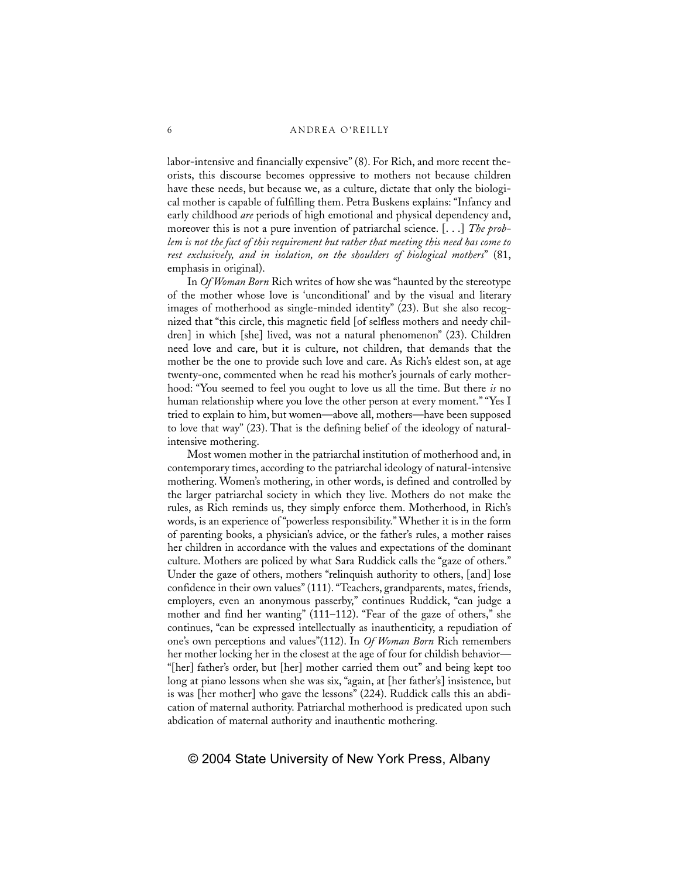labor-intensive and financially expensive" (8). For Rich, and more recent theorists, this discourse becomes oppressive to mothers not because children have these needs, but because we, as a culture, dictate that only the biological mother is capable of fulfilling them. Petra Buskens explains: "Infancy and early childhood *are* periods of high emotional and physical dependency and, moreover this is not a pure invention of patriarchal science. [. . .] *The problem is not the fact of this requirement but rather that meeting this need has come to rest exclusively, and in isolation, on the shoulders of biological mothers*" (81, emphasis in original).

In *Of Woman Born* Rich writes of how she was "haunted by the stereotype of the mother whose love is 'unconditional' and by the visual and literary images of motherhood as single-minded identity" (23). But she also recognized that "this circle, this magnetic field [of selfless mothers and needy children] in which [she] lived, was not a natural phenomenon" (23). Children need love and care, but it is culture, not children, that demands that the mother be the one to provide such love and care. As Rich's eldest son, at age twenty-one, commented when he read his mother's journals of early motherhood: "You seemed to feel you ought to love us all the time. But there *is* no human relationship where you love the other person at every moment." "Yes I tried to explain to him, but women—above all, mothers—have been supposed to love that way" (23). That is the defining belief of the ideology of naturalintensive mothering.

Most women mother in the patriarchal institution of motherhood and, in contemporary times, according to the patriarchal ideology of natural-intensive mothering. Women's mothering, in other words, is defined and controlled by the larger patriarchal society in which they live. Mothers do not make the rules, as Rich reminds us, they simply enforce them. Motherhood, in Rich's words, is an experience of "powerless responsibility." Whether it is in the form of parenting books, a physician's advice, or the father's rules, a mother raises her children in accordance with the values and expectations of the dominant culture. Mothers are policed by what Sara Ruddick calls the "gaze of others." Under the gaze of others, mothers "relinquish authority to others, [and] lose confidence in their own values" (111). "Teachers, grandparents, mates, friends, employers, even an anonymous passerby," continues Ruddick, "can judge a mother and find her wanting" (111–112). "Fear of the gaze of others," she continues, "can be expressed intellectually as inauthenticity, a repudiation of one's own perceptions and values"(112). In *Of Woman Born* Rich remembers her mother locking her in the closest at the age of four for childish behavior— "[her] father's order, but [her] mother carried them out" and being kept too long at piano lessons when she was six, "again, at [her father's] insistence, but is was [her mother] who gave the lessons" (224). Ruddick calls this an abdication of maternal authority. Patriarchal motherhood is predicated upon such abdication of maternal authority and inauthentic mothering.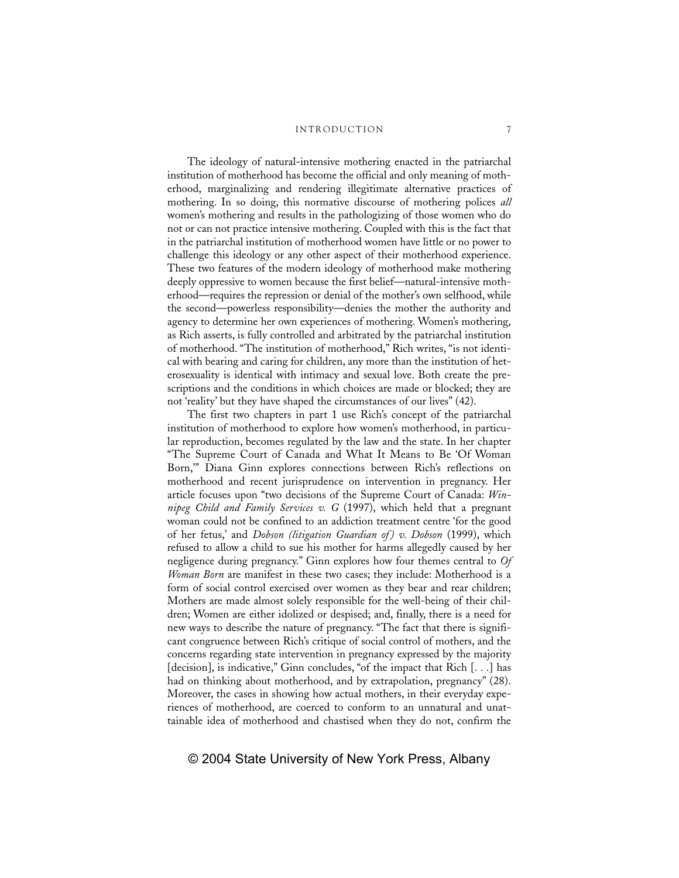The ideology of natural-intensive mothering enacted in the patriarchal institution of motherhood has become the official and only meaning of motherhood, marginalizing and rendering illegitimate alternative practices of mothering. In so doing, this normative discourse of mothering polices *all* women's mothering and results in the pathologizing of those women who do not or can not practice intensive mothering. Coupled with this is the fact that in the patriarchal institution of motherhood women have little or no power to challenge this ideology or any other aspect of their motherhood experience. These two features of the modern ideology of motherhood make mothering deeply oppressive to women because the first belief—natural-intensive motherhood—requires the repression or denial of the mother's own selfhood, while the second—powerless responsibility—denies the mother the authority and agency to determine her own experiences of mothering. Women's mothering, as Rich asserts, is fully controlled and arbitrated by the patriarchal institution of motherhood. "The institution of motherhood," Rich writes, "is not identical with bearing and caring for children, any more than the institution of heterosexuality is identical with intimacy and sexual love. Both create the prescriptions and the conditions in which choices are made or blocked; they are not 'reality' but they have shaped the circumstances of our lives" (42).

The first two chapters in part 1 use Rich's concept of the patriarchal institution of motherhood to explore how women's motherhood, in particular reproduction, becomes regulated by the law and the state. In her chapter "The Supreme Court of Canada and What It Means to Be 'Of Woman Born,'" Diana Ginn explores connections between Rich's reflections on motherhood and recent jurisprudence on intervention in pregnancy. Her article focuses upon "two decisions of the Supreme Court of Canada: *Winnipeg Child and Family Services v. G* (1997), which held that a pregnant woman could not be confined to an addiction treatment centre 'for the good of her fetus,' and *Dobson (litigation Guardian of ) v. Dobson* (1999), which refused to allow a child to sue his mother for harms allegedly caused by her negligence during pregnancy." Ginn explores how four themes central to *Of Woman Born* are manifest in these two cases; they include: Motherhood is a form of social control exercised over women as they bear and rear children; Mothers are made almost solely responsible for the well-being of their children; Women are either idolized or despised; and, finally, there is a need for new ways to describe the nature of pregnancy. "The fact that there is significant congruence between Rich's critique of social control of mothers, and the concerns regarding state intervention in pregnancy expressed by the majority [decision], is indicative," Ginn concludes, "of the impact that Rich [. . .] has had on thinking about motherhood, and by extrapolation, pregnancy" (28). Moreover, the cases in showing how actual mothers, in their everyday experiences of motherhood, are coerced to conform to an unnatural and unattainable idea of motherhood and chastised when they do not, confirm the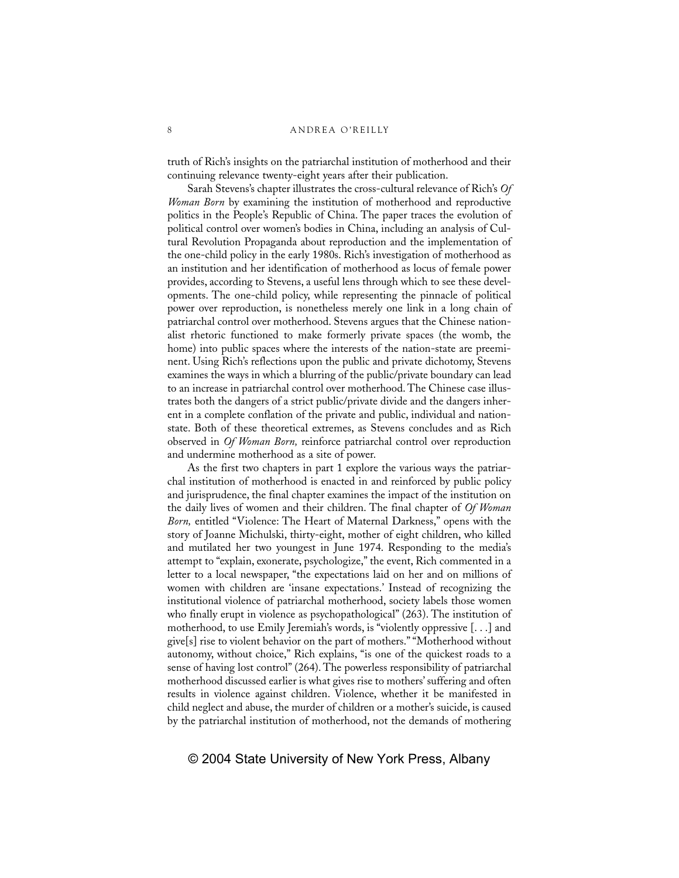truth of Rich's insights on the patriarchal institution of motherhood and their continuing relevance twenty-eight years after their publication.

Sarah Stevens's chapter illustrates the cross-cultural relevance of Rich's *Of Woman Born* by examining the institution of motherhood and reproductive politics in the People's Republic of China. The paper traces the evolution of political control over women's bodies in China, including an analysis of Cultural Revolution Propaganda about reproduction and the implementation of the one-child policy in the early 1980s. Rich's investigation of motherhood as an institution and her identification of motherhood as locus of female power provides, according to Stevens, a useful lens through which to see these developments. The one-child policy, while representing the pinnacle of political power over reproduction, is nonetheless merely one link in a long chain of patriarchal control over motherhood. Stevens argues that the Chinese nationalist rhetoric functioned to make formerly private spaces (the womb, the home) into public spaces where the interests of the nation-state are preeminent. Using Rich's reflections upon the public and private dichotomy, Stevens examines the ways in which a blurring of the public/private boundary can lead to an increase in patriarchal control over motherhood. The Chinese case illustrates both the dangers of a strict public/private divide and the dangers inherent in a complete conflation of the private and public, individual and nationstate. Both of these theoretical extremes, as Stevens concludes and as Rich observed in *Of Woman Born,* reinforce patriarchal control over reproduction and undermine motherhood as a site of power.

As the first two chapters in part 1 explore the various ways the patriarchal institution of motherhood is enacted in and reinforced by public policy and jurisprudence, the final chapter examines the impact of the institution on the daily lives of women and their children. The final chapter of *Of Woman Born,* entitled "Violence: The Heart of Maternal Darkness," opens with the story of Joanne Michulski, thirty-eight, mother of eight children, who killed and mutilated her two youngest in June 1974. Responding to the media's attempt to "explain, exonerate, psychologize," the event, Rich commented in a letter to a local newspaper, "the expectations laid on her and on millions of women with children are 'insane expectations.' Instead of recognizing the institutional violence of patriarchal motherhood, society labels those women who finally erupt in violence as psychopathological" (263). The institution of motherhood, to use Emily Jeremiah's words, is "violently oppressive [. . .] and give[s] rise to violent behavior on the part of mothers." "Motherhood without autonomy, without choice," Rich explains, "is one of the quickest roads to a sense of having lost control" (264). The powerless responsibility of patriarchal motherhood discussed earlier is what gives rise to mothers' suffering and often results in violence against children. Violence, whether it be manifested in child neglect and abuse, the murder of children or a mother's suicide, is caused by the patriarchal institution of motherhood, not the demands of mothering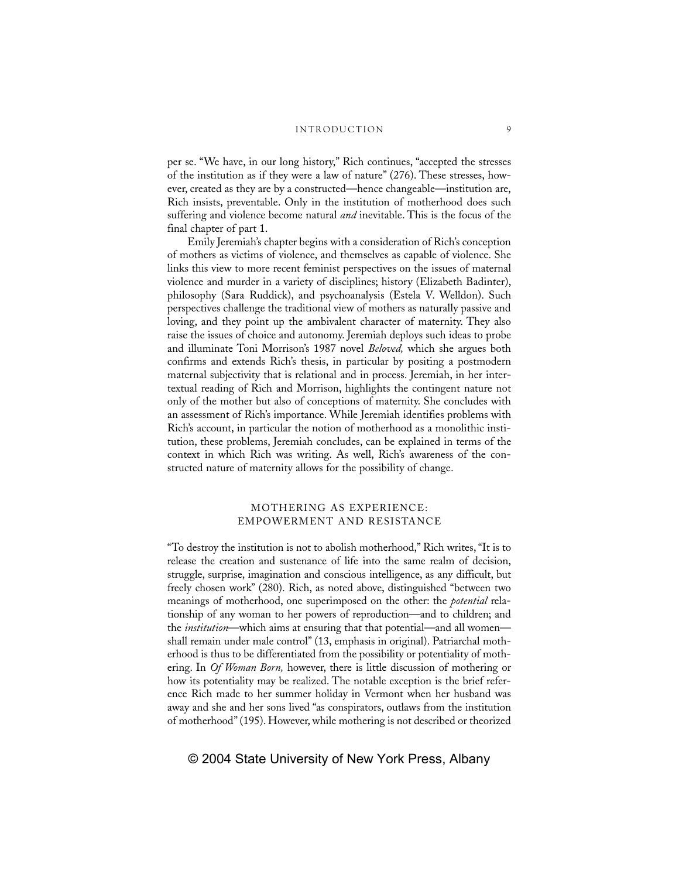per se. "We have, in our long history," Rich continues, "accepted the stresses of the institution as if they were a law of nature" (276). These stresses, however, created as they are by a constructed—hence changeable—institution are, Rich insists, preventable. Only in the institution of motherhood does such suffering and violence become natural *and* inevitable. This is the focus of the final chapter of part 1.

Emily Jeremiah's chapter begins with a consideration of Rich's conception of mothers as victims of violence, and themselves as capable of violence. She links this view to more recent feminist perspectives on the issues of maternal violence and murder in a variety of disciplines; history (Elizabeth Badinter), philosophy (Sara Ruddick), and psychoanalysis (Estela V. Welldon). Such perspectives challenge the traditional view of mothers as naturally passive and loving, and they point up the ambivalent character of maternity. They also raise the issues of choice and autonomy. Jeremiah deploys such ideas to probe and illuminate Toni Morrison's 1987 novel *Beloved,* which she argues both confirms and extends Rich's thesis, in particular by positing a postmodern maternal subjectivity that is relational and in process. Jeremiah, in her intertextual reading of Rich and Morrison, highlights the contingent nature not only of the mother but also of conceptions of maternity. She concludes with an assessment of Rich's importance. While Jeremiah identifies problems with Rich's account, in particular the notion of motherhood as a monolithic institution, these problems, Jeremiah concludes, can be explained in terms of the context in which Rich was writing. As well, Rich's awareness of the constructed nature of maternity allows for the possibility of change.

#### MOTHERING AS EXPERIENCE: EMPOWERMENT AND RESISTANCE

"To destroy the institution is not to abolish motherhood," Rich writes, "It is to release the creation and sustenance of life into the same realm of decision, struggle, surprise, imagination and conscious intelligence, as any difficult, but freely chosen work" (280). Rich, as noted above, distinguished "between two meanings of motherhood, one superimposed on the other: the *potential* relationship of any woman to her powers of reproduction—and to children; and the *institution*—which aims at ensuring that that potential—and all women shall remain under male control" (13, emphasis in original). Patriarchal motherhood is thus to be differentiated from the possibility or potentiality of mothering. In *Of Woman Born,* however, there is little discussion of mothering or how its potentiality may be realized. The notable exception is the brief reference Rich made to her summer holiday in Vermont when her husband was away and she and her sons lived "as conspirators, outlaws from the institution of motherhood" (195). However, while mothering is not described or theorized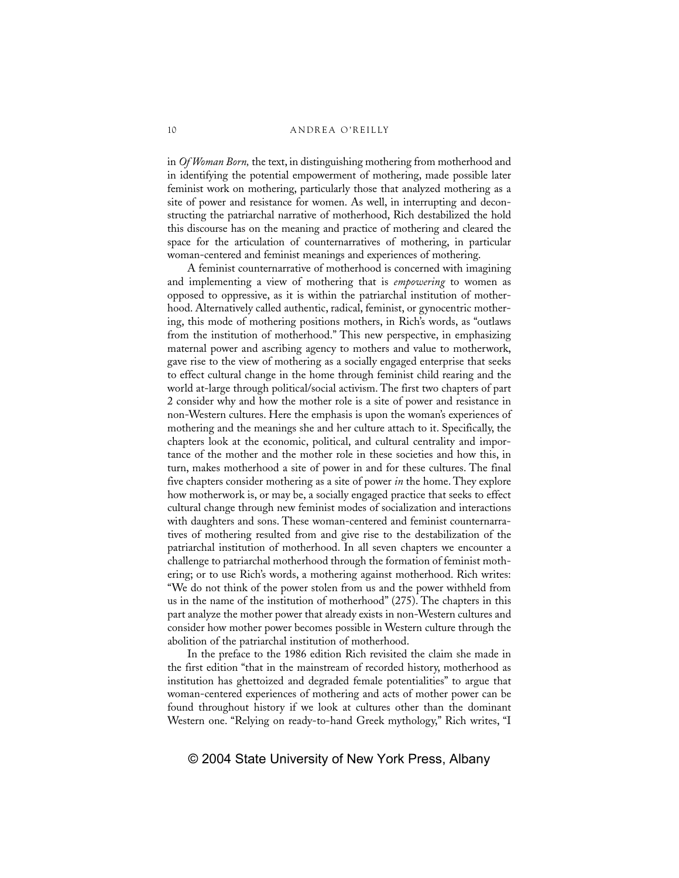in *Of Woman Born,* the text, in distinguishing mothering from motherhood and in identifying the potential empowerment of mothering, made possible later feminist work on mothering, particularly those that analyzed mothering as a site of power and resistance for women. As well, in interrupting and deconstructing the patriarchal narrative of motherhood, Rich destabilized the hold this discourse has on the meaning and practice of mothering and cleared the space for the articulation of counternarratives of mothering, in particular woman-centered and feminist meanings and experiences of mothering.

A feminist counternarrative of motherhood is concerned with imagining and implementing a view of mothering that is *empowering* to women as opposed to oppressive, as it is within the patriarchal institution of motherhood. Alternatively called authentic, radical, feminist, or gynocentric mothering, this mode of mothering positions mothers, in Rich's words, as "outlaws from the institution of motherhood." This new perspective, in emphasizing maternal power and ascribing agency to mothers and value to motherwork, gave rise to the view of mothering as a socially engaged enterprise that seeks to effect cultural change in the home through feminist child rearing and the world at-large through political/social activism. The first two chapters of part 2 consider why and how the mother role is a site of power and resistance in non-Western cultures. Here the emphasis is upon the woman's experiences of mothering and the meanings she and her culture attach to it. Specifically, the chapters look at the economic, political, and cultural centrality and importance of the mother and the mother role in these societies and how this, in turn, makes motherhood a site of power in and for these cultures. The final five chapters consider mothering as a site of power *in* the home. They explore how motherwork is, or may be, a socially engaged practice that seeks to effect cultural change through new feminist modes of socialization and interactions with daughters and sons. These woman-centered and feminist counternarratives of mothering resulted from and give rise to the destabilization of the patriarchal institution of motherhood. In all seven chapters we encounter a challenge to patriarchal motherhood through the formation of feminist mothering; or to use Rich's words, a mothering against motherhood. Rich writes: "We do not think of the power stolen from us and the power withheld from us in the name of the institution of motherhood" (275). The chapters in this part analyze the mother power that already exists in non-Western cultures and consider how mother power becomes possible in Western culture through the abolition of the patriarchal institution of motherhood.

In the preface to the 1986 edition Rich revisited the claim she made in the first edition "that in the mainstream of recorded history, motherhood as institution has ghettoized and degraded female potentialities" to argue that woman-centered experiences of mothering and acts of mother power can be found throughout history if we look at cultures other than the dominant Western one. "Relying on ready-to-hand Greek mythology," Rich writes, "I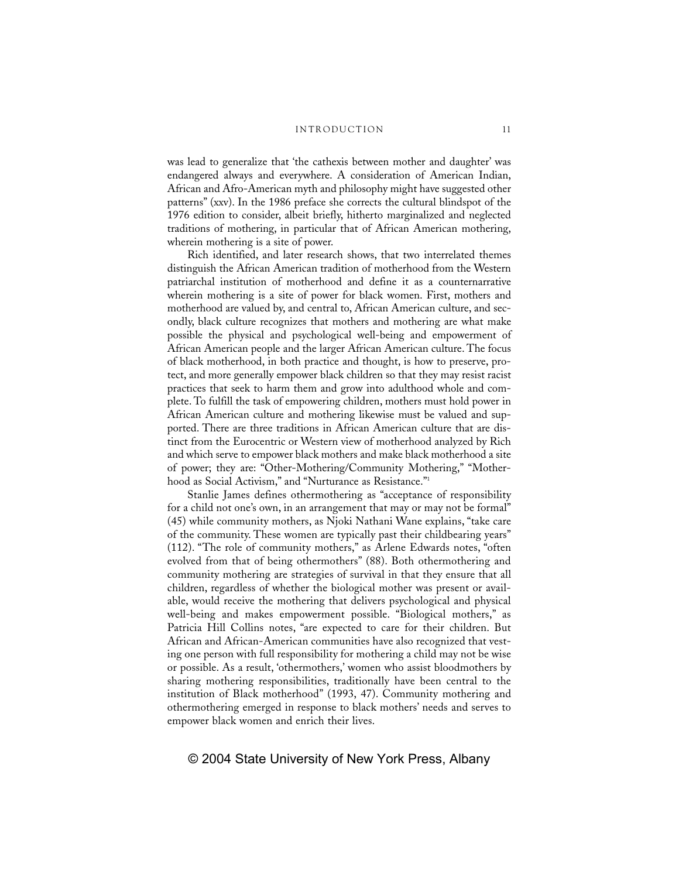was lead to generalize that 'the cathexis between mother and daughter' was endangered always and everywhere. A consideration of American Indian, African and Afro-American myth and philosophy might have suggested other patterns" (xxv). In the 1986 preface she corrects the cultural blindspot of the 1976 edition to consider, albeit briefly, hitherto marginalized and neglected traditions of mothering, in particular that of African American mothering, wherein mothering is a site of power.

Rich identified, and later research shows, that two interrelated themes distinguish the African American tradition of motherhood from the Western patriarchal institution of motherhood and define it as a counternarrative wherein mothering is a site of power for black women. First, mothers and motherhood are valued by, and central to, African American culture, and secondly, black culture recognizes that mothers and mothering are what make possible the physical and psychological well-being and empowerment of African American people and the larger African American culture. The focus of black motherhood, in both practice and thought, is how to preserve, protect, and more generally empower black children so that they may resist racist practices that seek to harm them and grow into adulthood whole and complete. To fulfill the task of empowering children, mothers must hold power in African American culture and mothering likewise must be valued and supported. There are three traditions in African American culture that are distinct from the Eurocentric or Western view of motherhood analyzed by Rich and which serve to empower black mothers and make black motherhood a site of power; they are: "Other-Mothering/Community Mothering," "Motherhood as Social Activism," and "Nurturance as Resistance."<sup>1</sup>

Stanlie James defines othermothering as "acceptance of responsibility for a child not one's own, in an arrangement that may or may not be formal" (45) while community mothers, as Njoki Nathani Wane explains, "take care of the community. These women are typically past their childbearing years" (112). "The role of community mothers," as Arlene Edwards notes, "often evolved from that of being othermothers" (88). Both othermothering and community mothering are strategies of survival in that they ensure that all children, regardless of whether the biological mother was present or available, would receive the mothering that delivers psychological and physical well-being and makes empowerment possible. "Biological mothers," as Patricia Hill Collins notes, "are expected to care for their children. But African and African-American communities have also recognized that vesting one person with full responsibility for mothering a child may not be wise or possible. As a result, 'othermothers,' women who assist bloodmothers by sharing mothering responsibilities, traditionally have been central to the institution of Black motherhood" (1993, 47). Community mothering and othermothering emerged in response to black mothers' needs and serves to empower black women and enrich their lives.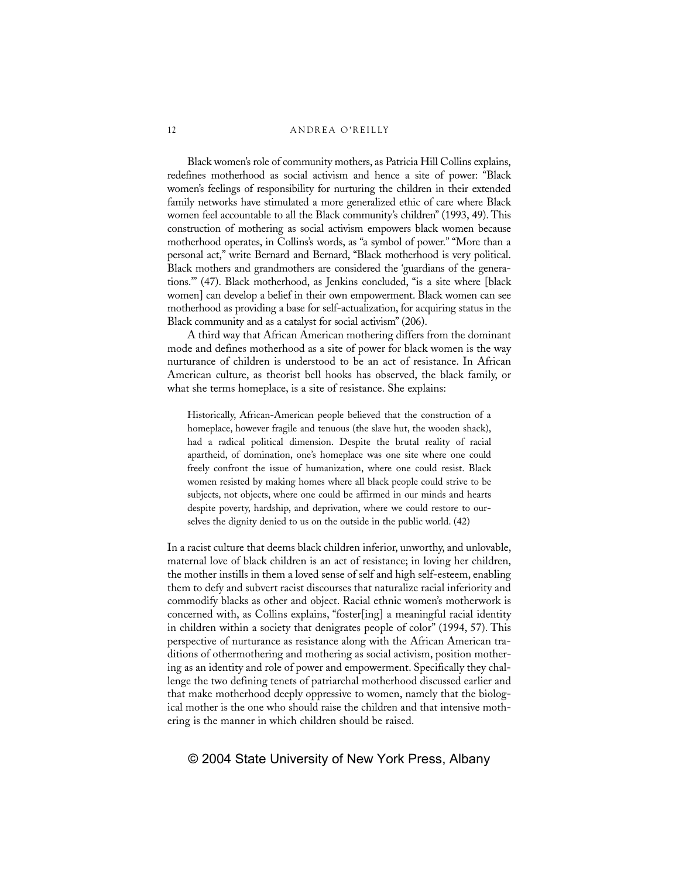Black women's role of community mothers, as Patricia Hill Collins explains, redefines motherhood as social activism and hence a site of power: "Black women's feelings of responsibility for nurturing the children in their extended family networks have stimulated a more generalized ethic of care where Black women feel accountable to all the Black community's children" (1993, 49). This construction of mothering as social activism empowers black women because motherhood operates, in Collins's words, as "a symbol of power." "More than a personal act," write Bernard and Bernard, "Black motherhood is very political. Black mothers and grandmothers are considered the 'guardians of the generations.'" (47). Black motherhood, as Jenkins concluded, "is a site where [black women] can develop a belief in their own empowerment. Black women can see motherhood as providing a base for self-actualization, for acquiring status in the Black community and as a catalyst for social activism" (206).

A third way that African American mothering differs from the dominant mode and defines motherhood as a site of power for black women is the way nurturance of children is understood to be an act of resistance. In African American culture, as theorist bell hooks has observed, the black family, or what she terms homeplace, is a site of resistance. She explains:

Historically, African-American people believed that the construction of a homeplace, however fragile and tenuous (the slave hut, the wooden shack), had a radical political dimension. Despite the brutal reality of racial apartheid, of domination, one's homeplace was one site where one could freely confront the issue of humanization, where one could resist. Black women resisted by making homes where all black people could strive to be subjects, not objects, where one could be affirmed in our minds and hearts despite poverty, hardship, and deprivation, where we could restore to ourselves the dignity denied to us on the outside in the public world. (42)

In a racist culture that deems black children inferior, unworthy, and unlovable, maternal love of black children is an act of resistance; in loving her children, the mother instills in them a loved sense of self and high self-esteem, enabling them to defy and subvert racist discourses that naturalize racial inferiority and commodify blacks as other and object. Racial ethnic women's motherwork is concerned with, as Collins explains, "foster[ing] a meaningful racial identity in children within a society that denigrates people of color" (1994, 57). This perspective of nurturance as resistance along with the African American traditions of othermothering and mothering as social activism, position mothering as an identity and role of power and empowerment. Specifically they challenge the two defining tenets of patriarchal motherhood discussed earlier and that make motherhood deeply oppressive to women, namely that the biological mother is the one who should raise the children and that intensive mothering is the manner in which children should be raised.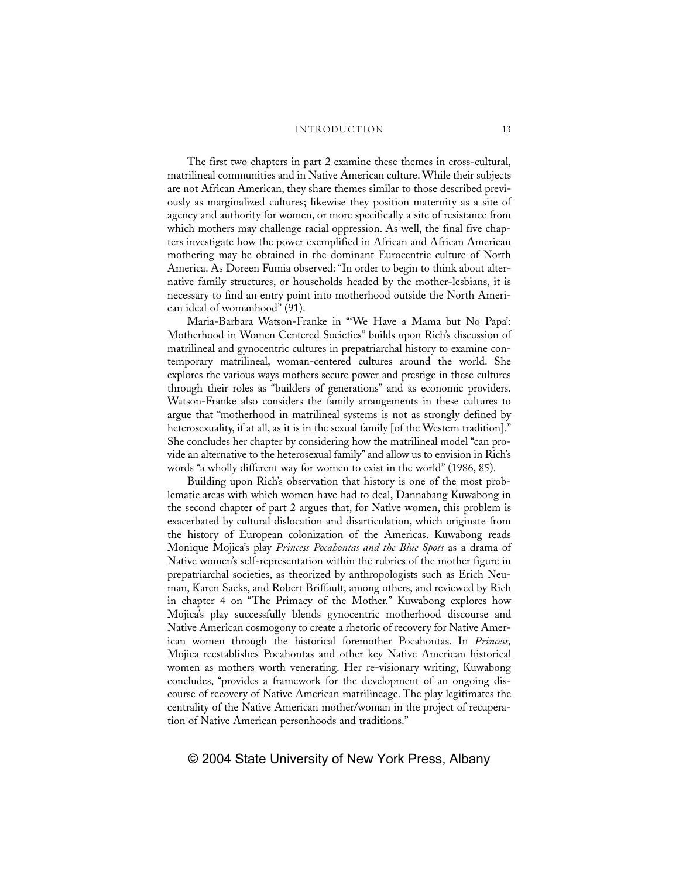The first two chapters in part 2 examine these themes in cross-cultural, matrilineal communities and in Native American culture. While their subjects are not African American, they share themes similar to those described previously as marginalized cultures; likewise they position maternity as a site of agency and authority for women, or more specifically a site of resistance from which mothers may challenge racial oppression. As well, the final five chapters investigate how the power exemplified in African and African American mothering may be obtained in the dominant Eurocentric culture of North America. As Doreen Fumia observed: "In order to begin to think about alternative family structures, or households headed by the mother-lesbians, it is necessary to find an entry point into motherhood outside the North American ideal of womanhood" (91).

Maria-Barbara Watson-Franke in "'We Have a Mama but No Papa': Motherhood in Women Centered Societies" builds upon Rich's discussion of matrilineal and gynocentric cultures in prepatriarchal history to examine contemporary matrilineal, woman-centered cultures around the world. She explores the various ways mothers secure power and prestige in these cultures through their roles as "builders of generations" and as economic providers. Watson-Franke also considers the family arrangements in these cultures to argue that "motherhood in matrilineal systems is not as strongly defined by heterosexuality, if at all, as it is in the sexual family [of the Western tradition]." She concludes her chapter by considering how the matrilineal model "can provide an alternative to the heterosexual family" and allow us to envision in Rich's words "a wholly different way for women to exist in the world" (1986, 85).

Building upon Rich's observation that history is one of the most problematic areas with which women have had to deal, Dannabang Kuwabong in the second chapter of part 2 argues that, for Native women, this problem is exacerbated by cultural dislocation and disarticulation, which originate from the history of European colonization of the Americas. Kuwabong reads Monique Mojica's play *Princess Pocahontas and the Blue Spots* as a drama of Native women's self-representation within the rubrics of the mother figure in prepatriarchal societies, as theorized by anthropologists such as Erich Neuman, Karen Sacks, and Robert Briffault, among others, and reviewed by Rich in chapter 4 on "The Primacy of the Mother." Kuwabong explores how Mojica's play successfully blends gynocentric motherhood discourse and Native American cosmogony to create a rhetoric of recovery for Native American women through the historical foremother Pocahontas. In *Princess,* Mojica reestablishes Pocahontas and other key Native American historical women as mothers worth venerating. Her re-visionary writing, Kuwabong concludes, "provides a framework for the development of an ongoing discourse of recovery of Native American matrilineage. The play legitimates the centrality of the Native American mother/woman in the project of recuperation of Native American personhoods and traditions."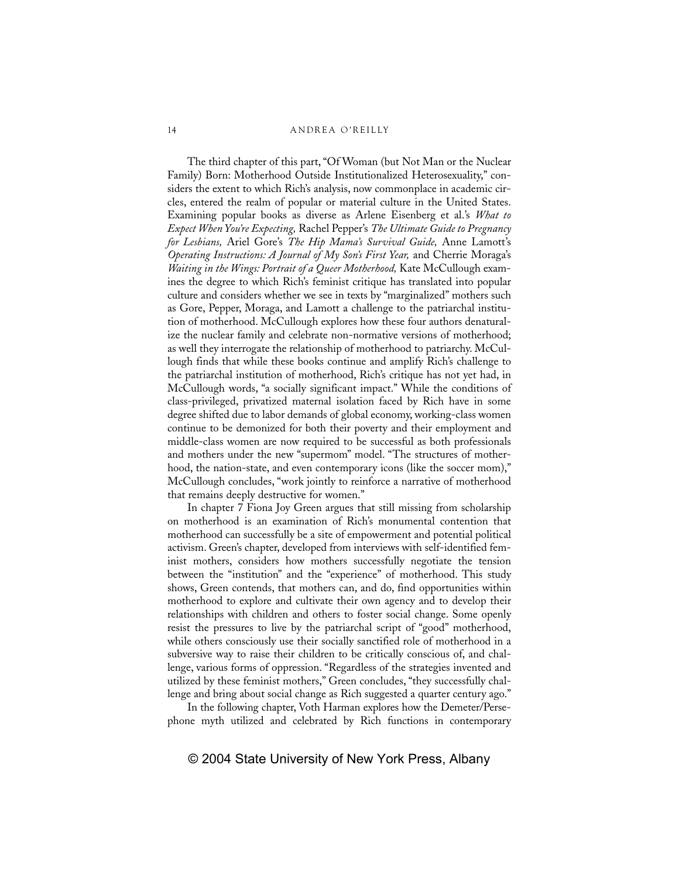The third chapter of this part, "Of Woman (but Not Man or the Nuclear Family) Born: Motherhood Outside Institutionalized Heterosexuality," considers the extent to which Rich's analysis, now commonplace in academic circles, entered the realm of popular or material culture in the United States. Examining popular books as diverse as Arlene Eisenberg et al.'s *What to Expect When You're Expecting,* Rachel Pepper's *The Ultimate Guide to Pregnancy for Lesbians,* Ariel Gore's *The Hip Mama's Survival Guide,* Anne Lamott's *Operating Instructions: A Journal of My Son's First Year,* and Cherrie Moraga's *Waiting in the Wings: Portrait of a Queer Motherhood,* Kate McCullough examines the degree to which Rich's feminist critique has translated into popular culture and considers whether we see in texts by "marginalized" mothers such as Gore, Pepper, Moraga, and Lamott a challenge to the patriarchal institution of motherhood. McCullough explores how these four authors denaturalize the nuclear family and celebrate non-normative versions of motherhood; as well they interrogate the relationship of motherhood to patriarchy. McCullough finds that while these books continue and amplify Rich's challenge to the patriarchal institution of motherhood, Rich's critique has not yet had, in McCullough words, "a socially significant impact." While the conditions of class-privileged, privatized maternal isolation faced by Rich have in some degree shifted due to labor demands of global economy, working-class women continue to be demonized for both their poverty and their employment and middle-class women are now required to be successful as both professionals and mothers under the new "supermom" model. "The structures of motherhood, the nation-state, and even contemporary icons (like the soccer mom)," McCullough concludes, "work jointly to reinforce a narrative of motherhood that remains deeply destructive for women."

In chapter 7 Fiona Joy Green argues that still missing from scholarship on motherhood is an examination of Rich's monumental contention that motherhood can successfully be a site of empowerment and potential political activism. Green's chapter, developed from interviews with self-identified feminist mothers, considers how mothers successfully negotiate the tension between the "institution" and the "experience" of motherhood. This study shows, Green contends, that mothers can, and do, find opportunities within motherhood to explore and cultivate their own agency and to develop their relationships with children and others to foster social change. Some openly resist the pressures to live by the patriarchal script of "good" motherhood, while others consciously use their socially sanctified role of motherhood in a subversive way to raise their children to be critically conscious of, and challenge, various forms of oppression. "Regardless of the strategies invented and utilized by these feminist mothers," Green concludes, "they successfully challenge and bring about social change as Rich suggested a quarter century ago."

In the following chapter, Voth Harman explores how the Demeter/Persephone myth utilized and celebrated by Rich functions in contemporary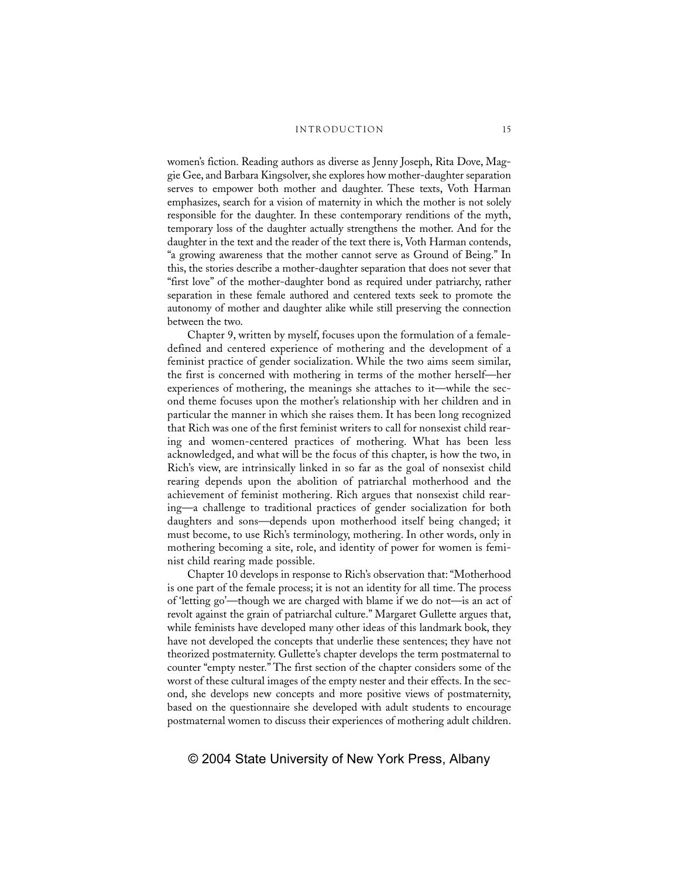women's fiction. Reading authors as diverse as Jenny Joseph, Rita Dove, Maggie Gee, and Barbara Kingsolver, she explores how mother-daughter separation serves to empower both mother and daughter. These texts, Voth Harman emphasizes, search for a vision of maternity in which the mother is not solely responsible for the daughter. In these contemporary renditions of the myth, temporary loss of the daughter actually strengthens the mother. And for the daughter in the text and the reader of the text there is, Voth Harman contends, "a growing awareness that the mother cannot serve as Ground of Being." In this, the stories describe a mother-daughter separation that does not sever that "first love" of the mother-daughter bond as required under patriarchy, rather separation in these female authored and centered texts seek to promote the autonomy of mother and daughter alike while still preserving the connection between the two.

Chapter 9, written by myself, focuses upon the formulation of a femaledefined and centered experience of mothering and the development of a feminist practice of gender socialization. While the two aims seem similar, the first is concerned with mothering in terms of the mother herself—her experiences of mothering, the meanings she attaches to it—while the second theme focuses upon the mother's relationship with her children and in particular the manner in which she raises them. It has been long recognized that Rich was one of the first feminist writers to call for nonsexist child rearing and women-centered practices of mothering. What has been less acknowledged, and what will be the focus of this chapter, is how the two, in Rich's view, are intrinsically linked in so far as the goal of nonsexist child rearing depends upon the abolition of patriarchal motherhood and the achievement of feminist mothering. Rich argues that nonsexist child rearing—a challenge to traditional practices of gender socialization for both daughters and sons—depends upon motherhood itself being changed; it must become, to use Rich's terminology, mothering. In other words, only in mothering becoming a site, role, and identity of power for women is feminist child rearing made possible.

Chapter 10 develops in response to Rich's observation that: "Motherhood is one part of the female process; it is not an identity for all time. The process of 'letting go'—though we are charged with blame if we do not—is an act of revolt against the grain of patriarchal culture." Margaret Gullette argues that, while feminists have developed many other ideas of this landmark book, they have not developed the concepts that underlie these sentences; they have not theorized postmaternity. Gullette's chapter develops the term postmaternal to counter "empty nester." The first section of the chapter considers some of the worst of these cultural images of the empty nester and their effects. In the second, she develops new concepts and more positive views of postmaternity, based on the questionnaire she developed with adult students to encourage postmaternal women to discuss their experiences of mothering adult children.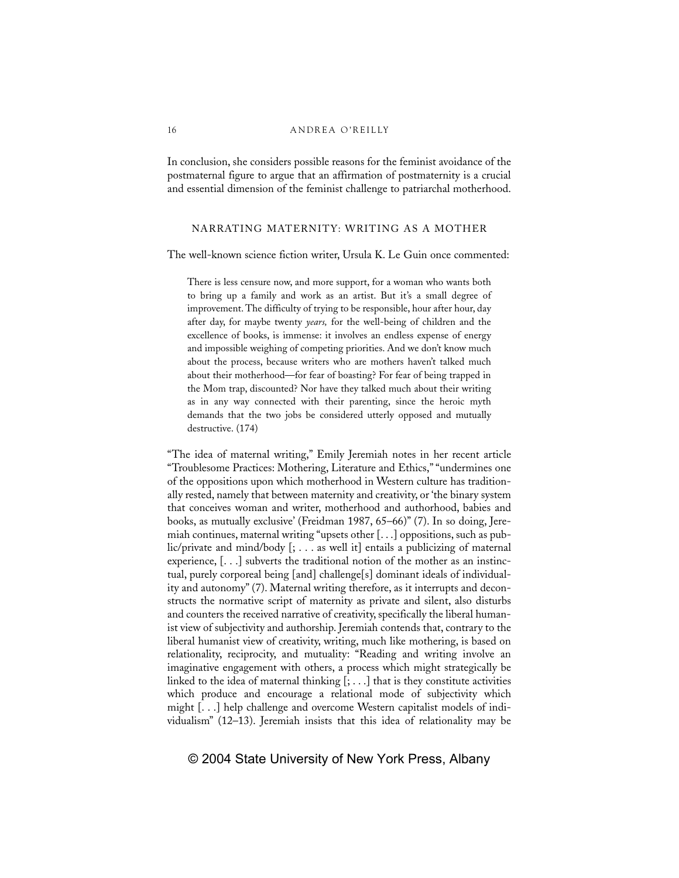In conclusion, she considers possible reasons for the feminist avoidance of the postmaternal figure to argue that an affirmation of postmaternity is a crucial and essential dimension of the feminist challenge to patriarchal motherhood.

#### NARRATING MATERNITY: WRITING AS A MOTHER

The well-known science fiction writer, Ursula K. Le Guin once commented:

There is less censure now, and more support, for a woman who wants both to bring up a family and work as an artist. But it's a small degree of improvement. The difficulty of trying to be responsible, hour after hour, day after day, for maybe twenty *years,* for the well-being of children and the excellence of books, is immense: it involves an endless expense of energy and impossible weighing of competing priorities. And we don't know much about the process, because writers who are mothers haven't talked much about their motherhood—for fear of boasting? For fear of being trapped in the Mom trap, discounted? Nor have they talked much about their writing as in any way connected with their parenting, since the heroic myth demands that the two jobs be considered utterly opposed and mutually destructive. (174)

"The idea of maternal writing," Emily Jeremiah notes in her recent article "Troublesome Practices: Mothering, Literature and Ethics," "undermines one of the oppositions upon which motherhood in Western culture has traditionally rested, namely that between maternity and creativity, or 'the binary system that conceives woman and writer, motherhood and authorhood, babies and books, as mutually exclusive' (Freidman 1987, 65–66)" (7). In so doing, Jeremiah continues, maternal writing "upsets other [. . .] oppositions, such as public/private and mind/body [; . . . as well it] entails a publicizing of maternal experience, [. . .] subverts the traditional notion of the mother as an instinctual, purely corporeal being [and] challenge[s] dominant ideals of individuality and autonomy" (7). Maternal writing therefore, as it interrupts and deconstructs the normative script of maternity as private and silent, also disturbs and counters the received narrative of creativity, specifically the liberal humanist view of subjectivity and authorship. Jeremiah contends that, contrary to the liberal humanist view of creativity, writing, much like mothering, is based on relationality, reciprocity, and mutuality: "Reading and writing involve an imaginative engagement with others, a process which might strategically be linked to the idea of maternal thinking  $[:,...]$  that is they constitute activities which produce and encourage a relational mode of subjectivity which might [. . .] help challenge and overcome Western capitalist models of individualism" (12–13). Jeremiah insists that this idea of relationality may be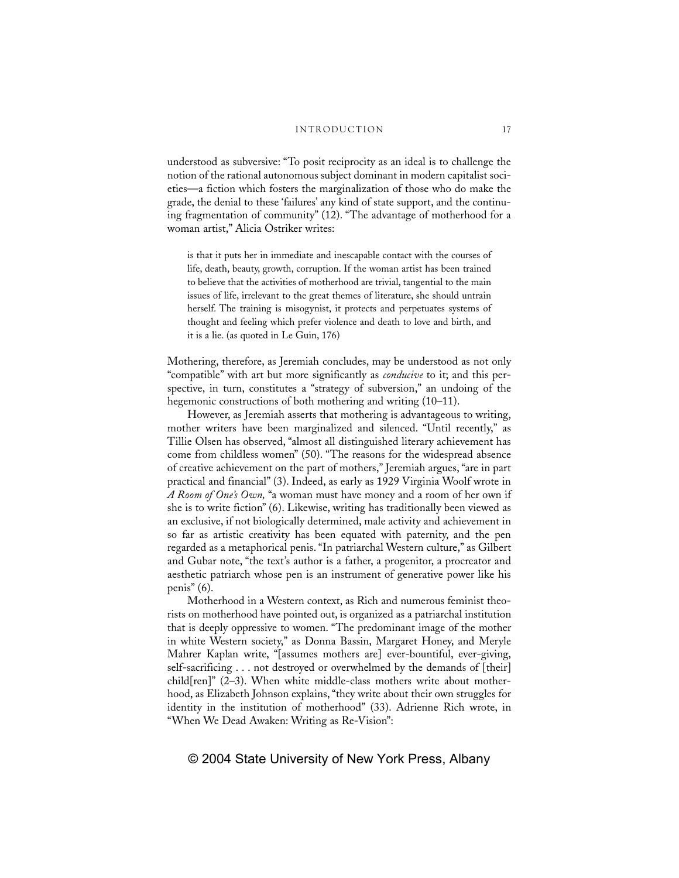understood as subversive: "To posit reciprocity as an ideal is to challenge the notion of the rational autonomous subject dominant in modern capitalist societies—a fiction which fosters the marginalization of those who do make the grade, the denial to these 'failures' any kind of state support, and the continuing fragmentation of community" (12). "The advantage of motherhood for a woman artist," Alicia Ostriker writes:

is that it puts her in immediate and inescapable contact with the courses of life, death, beauty, growth, corruption. If the woman artist has been trained to believe that the activities of motherhood are trivial, tangential to the main issues of life, irrelevant to the great themes of literature, she should untrain herself. The training is misogynist, it protects and perpetuates systems of thought and feeling which prefer violence and death to love and birth, and it is a lie. (as quoted in Le Guin, 176)

Mothering, therefore, as Jeremiah concludes, may be understood as not only "compatible" with art but more significantly as *conducive* to it; and this perspective, in turn, constitutes a "strategy of subversion," an undoing of the hegemonic constructions of both mothering and writing (10–11).

However, as Jeremiah asserts that mothering is advantageous to writing, mother writers have been marginalized and silenced. "Until recently," as Tillie Olsen has observed, "almost all distinguished literary achievement has come from childless women" (50). "The reasons for the widespread absence of creative achievement on the part of mothers," Jeremiah argues, "are in part practical and financial" (3). Indeed, as early as 1929 Virginia Woolf wrote in *A Room of One's Own,* "a woman must have money and a room of her own if she is to write fiction" (6). Likewise, writing has traditionally been viewed as an exclusive, if not biologically determined, male activity and achievement in so far as artistic creativity has been equated with paternity, and the pen regarded as a metaphorical penis. "In patriarchal Western culture," as Gilbert and Gubar note, "the text's author is a father, a progenitor, a procreator and aesthetic patriarch whose pen is an instrument of generative power like his penis" (6).

Motherhood in a Western context, as Rich and numerous feminist theorists on motherhood have pointed out, is organized as a patriarchal institution that is deeply oppressive to women. "The predominant image of the mother in white Western society," as Donna Bassin, Margaret Honey, and Meryle Mahrer Kaplan write, "[assumes mothers are] ever-bountiful, ever-giving, self-sacrificing . . . not destroyed or overwhelmed by the demands of [their] child[ren]" (2-3). When white middle-class mothers write about motherhood, as Elizabeth Johnson explains, "they write about their own struggles for identity in the institution of motherhood" (33). Adrienne Rich wrote, in "When We Dead Awaken: Writing as Re-Vision":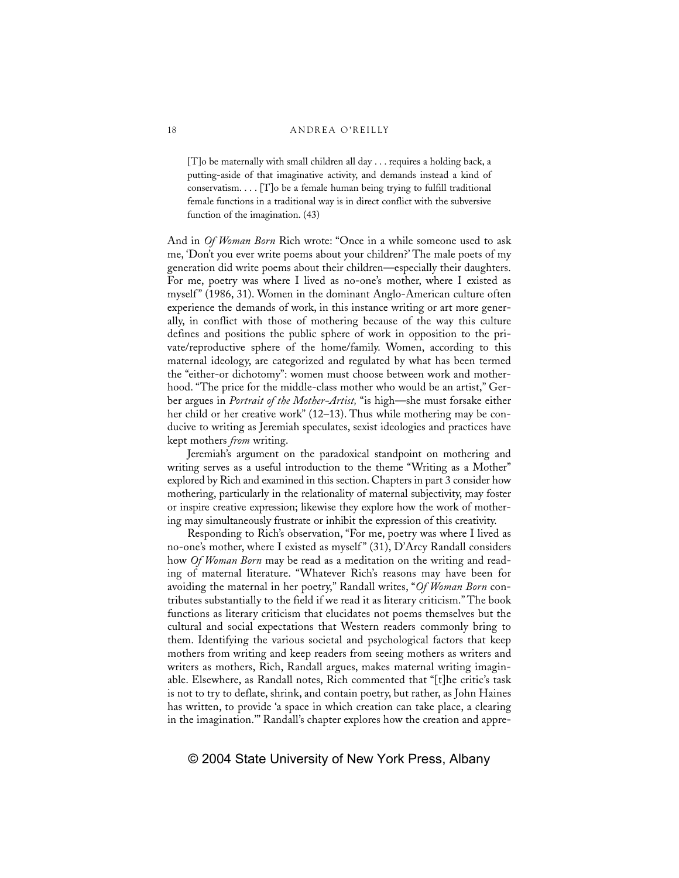[T]o be maternally with small children all day ...requires a holding back, a putting-aside of that imaginative activity, and demands instead a kind of conservatism. . . . [T]o be a female human being trying to fulfill traditional female functions in a traditional way is in direct conflict with the subversive function of the imagination. (43)

And in *Of Woman Born* Rich wrote: "Once in a while someone used to ask me, 'Don't you ever write poems about your children?' The male poets of my generation did write poems about their children—especially their daughters. For me, poetry was where I lived as no-one's mother, where I existed as myself" (1986, 31). Women in the dominant Anglo-American culture often experience the demands of work, in this instance writing or art more generally, in conflict with those of mothering because of the way this culture defines and positions the public sphere of work in opposition to the private/reproductive sphere of the home/family. Women, according to this maternal ideology, are categorized and regulated by what has been termed the "either-or dichotomy": women must choose between work and motherhood. "The price for the middle-class mother who would be an artist," Gerber argues in *Portrait of the Mother-Artist,* "is high—she must forsake either her child or her creative work" (12–13). Thus while mothering may be conducive to writing as Jeremiah speculates, sexist ideologies and practices have kept mothers *from* writing.

Jeremiah's argument on the paradoxical standpoint on mothering and writing serves as a useful introduction to the theme "Writing as a Mother" explored by Rich and examined in this section. Chapters in part 3 consider how mothering, particularly in the relationality of maternal subjectivity, may foster or inspire creative expression; likewise they explore how the work of mothering may simultaneously frustrate or inhibit the expression of this creativity.

Responding to Rich's observation, "For me, poetry was where I lived as no-one's mother, where I existed as myself" (31), D'Arcy Randall considers how *Of Woman Born* may be read as a meditation on the writing and reading of maternal literature. "Whatever Rich's reasons may have been for avoiding the maternal in her poetry," Randall writes, "*Of Woman Born* contributes substantially to the field if we read it as literary criticism." The book functions as literary criticism that elucidates not poems themselves but the cultural and social expectations that Western readers commonly bring to them. Identifying the various societal and psychological factors that keep mothers from writing and keep readers from seeing mothers as writers and writers as mothers, Rich, Randall argues, makes maternal writing imaginable. Elsewhere, as Randall notes, Rich commented that "[t]he critic's task is not to try to deflate, shrink, and contain poetry, but rather, as John Haines has written, to provide 'a space in which creation can take place, a clearing in the imagination.'" Randall's chapter explores how the creation and appre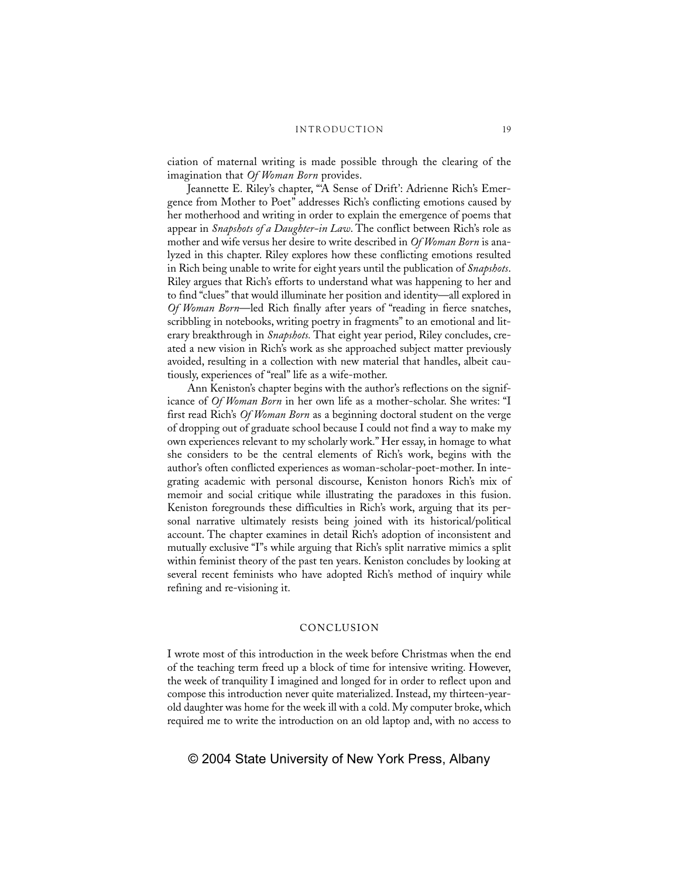ciation of maternal writing is made possible through the clearing of the imagination that *Of Woman Born* provides.

Jeannette E. Riley's chapter, "'A Sense of Drift': Adrienne Rich's Emergence from Mother to Poet" addresses Rich's conflicting emotions caused by her motherhood and writing in order to explain the emergence of poems that appear in *Snapshots of a Daughter-in Law*. The conflict between Rich's role as mother and wife versus her desire to write described in *Of Woman Born* is analyzed in this chapter. Riley explores how these conflicting emotions resulted in Rich being unable to write for eight years until the publication of *Snapshots*. Riley argues that Rich's efforts to understand what was happening to her and to find "clues" that would illuminate her position and identity—all explored in *Of Woman Born*—led Rich finally after years of "reading in fierce snatches, scribbling in notebooks, writing poetry in fragments" to an emotional and literary breakthrough in *Snapshots.* That eight year period, Riley concludes, created a new vision in Rich's work as she approached subject matter previously avoided, resulting in a collection with new material that handles, albeit cautiously, experiences of "real" life as a wife-mother.

Ann Keniston's chapter begins with the author's reflections on the significance of *Of Woman Born* in her own life as a mother-scholar. She writes: "I first read Rich's *Of Woman Born* as a beginning doctoral student on the verge of dropping out of graduate school because I could not find a way to make my own experiences relevant to my scholarly work." Her essay, in homage to what she considers to be the central elements of Rich's work, begins with the author's often conflicted experiences as woman-scholar-poet-mother. In integrating academic with personal discourse, Keniston honors Rich's mix of memoir and social critique while illustrating the paradoxes in this fusion. Keniston foregrounds these difficulties in Rich's work, arguing that its personal narrative ultimately resists being joined with its historical/political account. The chapter examines in detail Rich's adoption of inconsistent and mutually exclusive "I"s while arguing that Rich's split narrative mimics a split within feminist theory of the past ten years. Keniston concludes by looking at several recent feminists who have adopted Rich's method of inquiry while refining and re-visioning it.

#### CONCLUSION

I wrote most of this introduction in the week before Christmas when the end of the teaching term freed up a block of time for intensive writing. However, the week of tranquility I imagined and longed for in order to reflect upon and compose this introduction never quite materialized. Instead, my thirteen-yearold daughter was home for the week ill with a cold. My computer broke, which required me to write the introduction on an old laptop and, with no access to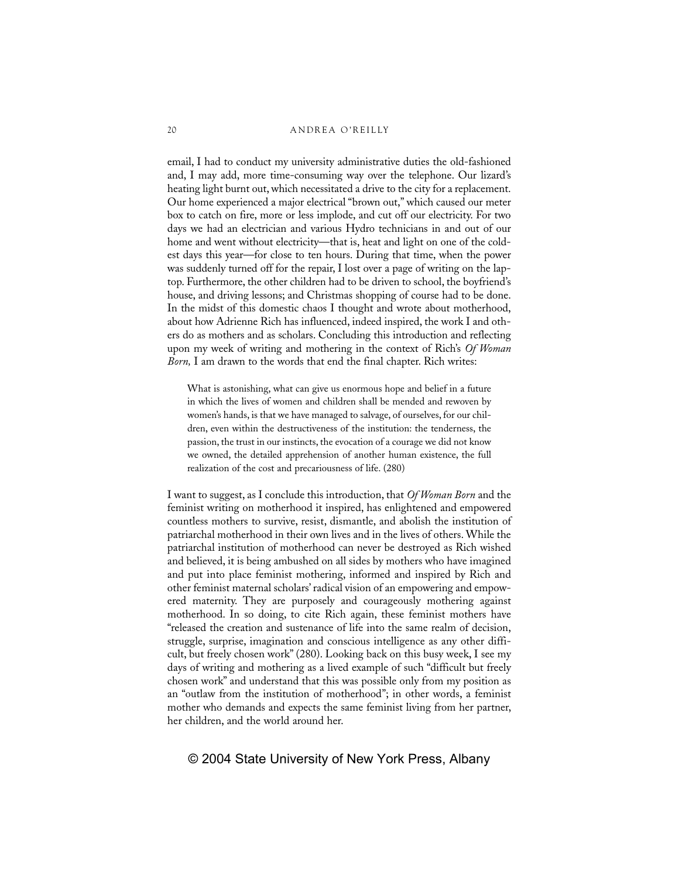email, I had to conduct my university administrative duties the old-fashioned and, I may add, more time-consuming way over the telephone. Our lizard's heating light burnt out, which necessitated a drive to the city for a replacement. Our home experienced a major electrical "brown out," which caused our meter box to catch on fire, more or less implode, and cut off our electricity. For two days we had an electrician and various Hydro technicians in and out of our home and went without electricity—that is, heat and light on one of the coldest days this year—for close to ten hours. During that time, when the power was suddenly turned off for the repair, I lost over a page of writing on the laptop. Furthermore, the other children had to be driven to school, the boyfriend's house, and driving lessons; and Christmas shopping of course had to be done. In the midst of this domestic chaos I thought and wrote about motherhood, about how Adrienne Rich has influenced, indeed inspired, the work I and others do as mothers and as scholars. Concluding this introduction and reflecting upon my week of writing and mothering in the context of Rich's *Of Woman Born,* I am drawn to the words that end the final chapter. Rich writes:

What is astonishing, what can give us enormous hope and belief in a future in which the lives of women and children shall be mended and rewoven by women's hands, is that we have managed to salvage, of ourselves, for our children, even within the destructiveness of the institution: the tenderness, the passion, the trust in our instincts, the evocation of a courage we did not know we owned, the detailed apprehension of another human existence, the full realization of the cost and precariousness of life. (280)

I want to suggest, as I conclude this introduction, that *Of Woman Born* and the feminist writing on motherhood it inspired, has enlightened and empowered countless mothers to survive, resist, dismantle, and abolish the institution of patriarchal motherhood in their own lives and in the lives of others. While the patriarchal institution of motherhood can never be destroyed as Rich wished and believed, it is being ambushed on all sides by mothers who have imagined and put into place feminist mothering, informed and inspired by Rich and other feminist maternal scholars' radical vision of an empowering and empowered maternity. They are purposely and courageously mothering against motherhood. In so doing, to cite Rich again, these feminist mothers have "released the creation and sustenance of life into the same realm of decision, struggle, surprise, imagination and conscious intelligence as any other difficult, but freely chosen work" (280). Looking back on this busy week, I see my days of writing and mothering as a lived example of such "difficult but freely chosen work" and understand that this was possible only from my position as an "outlaw from the institution of motherhood"; in other words, a feminist mother who demands and expects the same feminist living from her partner, her children, and the world around her.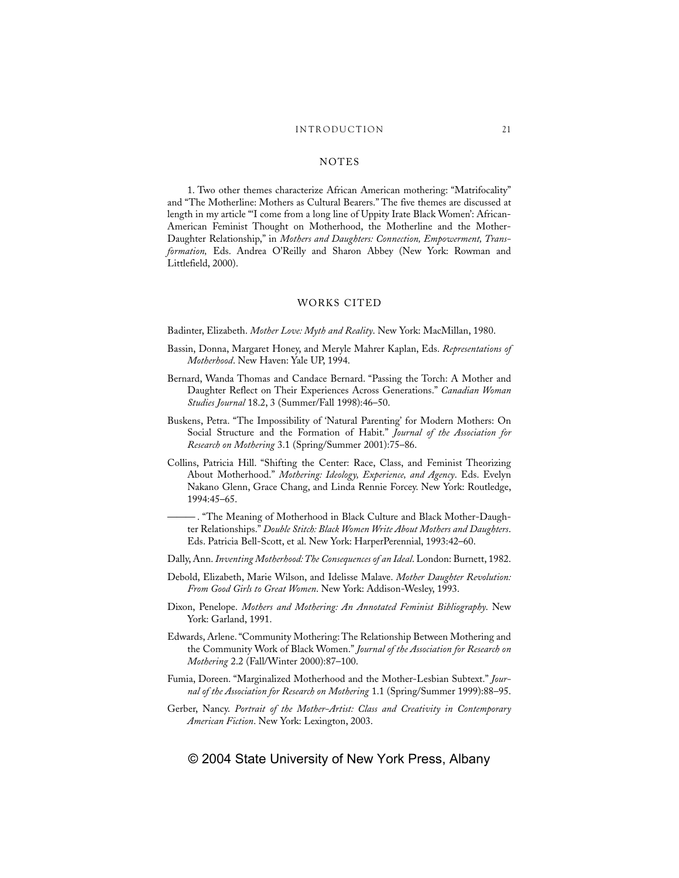#### NOTES

1. Two other themes characterize African American mothering: "Matrifocality" and "The Motherline: Mothers as Cultural Bearers." The five themes are discussed at length in my article "'I come from a long line of Uppity Irate Black Women': African-American Feminist Thought on Motherhood, the Motherline and the Mother-Daughter Relationship," in *Mothers and Daughters: Connection, Empowerment, Transformation,* Eds. Andrea O'Reilly and Sharon Abbey (New York: Rowman and Littlefield, 2000).

#### WORKS CITED

Badinter, Elizabeth. *Mother Love: Myth and Reality*. New York: MacMillan, 1980.

- Bassin, Donna, Margaret Honey, and Meryle Mahrer Kaplan, Eds. *Representations of Motherhood*. New Haven: Yale UP, 1994.
- Bernard, Wanda Thomas and Candace Bernard. "Passing the Torch: A Mother and Daughter Reflect on Their Experiences Across Generations." *Canadian Woman Studies Journal* 18.2, 3 (Summer/Fall 1998):46–50.
- Buskens, Petra. "The Impossibility of 'Natural Parenting' for Modern Mothers: On Social Structure and the Formation of Habit." *Journal of the Association for Research on Mothering* 3.1 (Spring/Summer 2001):75–86.
- Collins, Patricia Hill. "Shifting the Center: Race, Class, and Feminist Theorizing About Motherhood." *Mothering: Ideology, Experience, and Agency*. Eds. Evelyn Nakano Glenn, Grace Chang, and Linda Rennie Forcey. New York: Routledge, 1994:45–65.

——— . "The Meaning of Motherhood in Black Culture and Black Mother-Daughter Relationships." *Double Stitch: Black Women Write About Mothers and Daughters*. Eds. Patricia Bell-Scott, et al. New York: HarperPerennial, 1993:42–60.

- Dally, Ann. *Inventing Motherhood: The Consequences of an Ideal*. London: Burnett, 1982.
- Debold, Elizabeth, Marie Wilson, and Idelisse Malave. *Mother Daughter Revolution: From Good Girls to Great Women*. New York: Addison-Wesley, 1993.
- Dixon, Penelope. *Mothers and Mothering: An Annotated Feminist Bibliography*. New York: Garland, 1991.
- Edwards, Arlene. "Community Mothering: The Relationship Between Mothering and the Community Work of Black Women." *Journal of the Association for Research on Mothering* 2.2 (Fall/Winter 2000):87–100.
- Fumia, Doreen. "Marginalized Motherhood and the Mother-Lesbian Subtext." *Journal of the Association for Research on Mothering* 1.1 (Spring/Summer 1999):88–95.
- Gerber, Nancy. *Portrait of the Mother-Artist: Class and Creativity in Contemporary American Fiction*. New York: Lexington, 2003.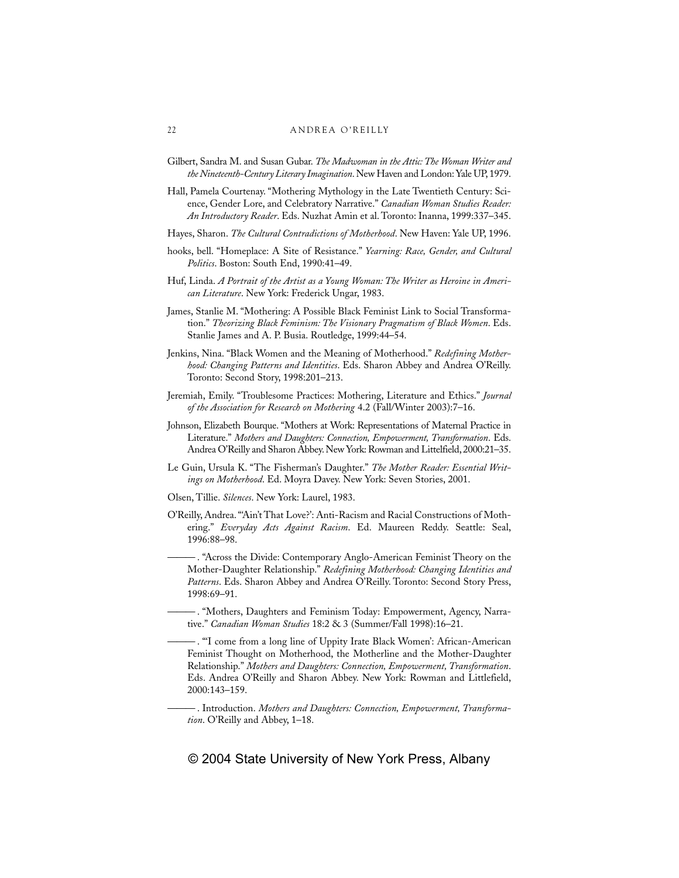- Gilbert, Sandra M. and Susan Gubar. *The Madwoman in the Attic: The Woman Writer and the Nineteenth-Century Literary Imagination*. New Haven and London: Yale UP, 1979.
- Hall, Pamela Courtenay. "Mothering Mythology in the Late Twentieth Century: Science, Gender Lore, and Celebratory Narrative." *Canadian Woman Studies Reader: An Introductory Reader*. Eds. Nuzhat Amin et al. Toronto: Inanna, 1999:337–345.
- Hayes, Sharon. *The Cultural Contradictions of Motherhood*. New Haven: Yale UP, 1996.
- hooks, bell. "Homeplace: A Site of Resistance." *Yearning: Race, Gender, and Cultural Politics*. Boston: South End, 1990:41–49.
- Huf, Linda. *A Portrait of the Artist as a Young Woman: The Writer as Heroine in American Literature*. New York: Frederick Ungar, 1983.
- James, Stanlie M. "Mothering: A Possible Black Feminist Link to Social Transformation." *Theorizing Black Feminism: The Visionary Pragmatism of Black Women*. Eds. Stanlie James and A. P. Busia. Routledge, 1999:44–54.
- Jenkins, Nina. "Black Women and the Meaning of Motherhood." *Redefining Motherhood: Changing Patterns and Identities*. Eds. Sharon Abbey and Andrea O'Reilly. Toronto: Second Story, 1998:201–213.
- Jeremiah, Emily. "Troublesome Practices: Mothering, Literature and Ethics." *Journal of the Association for Research on Mothering* 4.2 (Fall/Winter 2003):7–16.
- Johnson, Elizabeth Bourque. "Mothers at Work: Representations of Maternal Practice in Literature." *Mothers and Daughters: Connection, Empowerment, Transformation*. Eds. Andrea O'Reilly and Sharon Abbey. New York: Rowman and Littelfield, 2000:21–35.
- Le Guin, Ursula K. "The Fisherman's Daughter." *The Mother Reader: Essential Writings on Motherhood*. Ed. Moyra Davey. New York: Seven Stories, 2001.
- Olsen, Tillie. *Silences*. New York: Laurel, 1983.
- O'Reilly, Andrea. "'Ain't That Love?': Anti-Racism and Racial Constructions of Mothering." *Everyday Acts Against Racism*. Ed. Maureen Reddy. Seattle: Seal, 1996:88–98.
- ——— . "Across the Divide: Contemporary Anglo-American Feminist Theory on the Mother-Daughter Relationship." *Redefining Motherhood: Changing Identities and Patterns*. Eds. Sharon Abbey and Andrea O'Reilly. Toronto: Second Story Press, 1998:69–91.
- ——— . "Mothers, Daughters and Feminism Today: Empowerment, Agency, Narrative." *Canadian Woman Studies* 18:2 & 3 (Summer/Fall 1998):16–21.
	- ——— . "'I come from a long line of Uppity Irate Black Women': African-American Feminist Thought on Motherhood, the Motherline and the Mother-Daughter Relationship." *Mothers and Daughters: Connection, Empowerment, Transformation*. Eds. Andrea O'Reilly and Sharon Abbey. New York: Rowman and Littlefield, 2000:143–159.
		- ——— . Introduction. *Mothers and Daughters: Connection, Empowerment, Transformation*. O'Reilly and Abbey, 1–18.